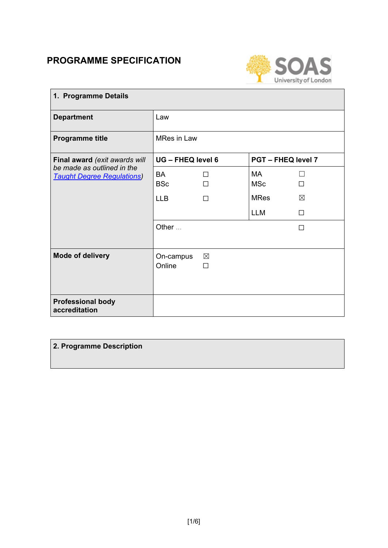# **PROGRAMME SPECIFICATION**



| 1. Programme Details                                            |                     |                  |                           |   |
|-----------------------------------------------------------------|---------------------|------------------|---------------------------|---|
| <b>Department</b>                                               | Law                 |                  |                           |   |
| <b>Programme title</b>                                          | <b>MRes in Law</b>  |                  |                           |   |
| Final award (exit awards will                                   | UG - FHEQ level 6   |                  | <b>PGT - FHEQ level 7</b> |   |
| be made as outlined in the<br><b>Taught Degree Regulations)</b> | BA<br><b>BSc</b>    | П<br>П           | MA<br><b>MSc</b>          | П |
|                                                                 | <b>LLB</b>          | П                | <b>MRes</b>               | ⊠ |
|                                                                 |                     |                  | <b>LLM</b>                | П |
|                                                                 | Other               |                  |                           | П |
| <b>Mode of delivery</b>                                         | On-campus<br>Online | $\boxtimes$<br>П |                           |   |
| <b>Professional body</b><br>accreditation                       |                     |                  |                           |   |

## **2. Programme Description**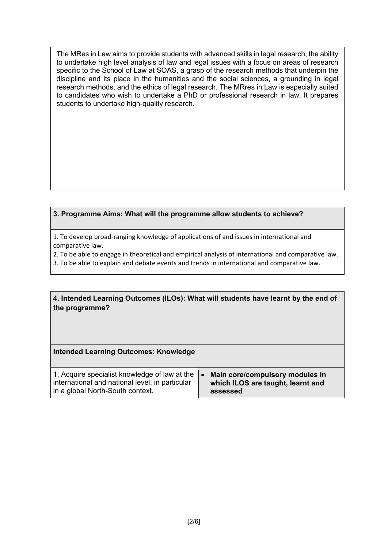The MRes in Law aims to provide students with advanced skills in legal research, the ability to undertake high level analysis of law and legal issues with a focus on areas of research specific to the School of Law at SOAS, a grasp of the research methods that underpin the discipline and its place in the humanities and the social sciences, a grounding in legal research methods, and the ethics of legal research. The MRres in Law is especially suited to candidates who wish to undertake a PhD or professional research in law. It prepares students to undertake high-quality research.

### **3. Programme Aims: What will the programme allow students to achieve?**

1. To develop broad-ranging knowledge of applications of and issues in international and comparative law.

2. To be able to engage in theoretical and empirical analysis of international and comparative law.

3. To be able to explain and debate events and trends in international and comparative law.

#### **4. Intended Learning Outcomes (ILOs): What will students have learnt by the end of the programme?**

#### **Intended Learning Outcomes: Knowledge**

| 1. Acquire specialist knowledge of law at the<br>international and national level, in particular<br>in a global North-South context. | Main core/compulsory modules in<br>which ILOS are taught, learnt and<br>assessed |
|--------------------------------------------------------------------------------------------------------------------------------------|----------------------------------------------------------------------------------|
|                                                                                                                                      |                                                                                  |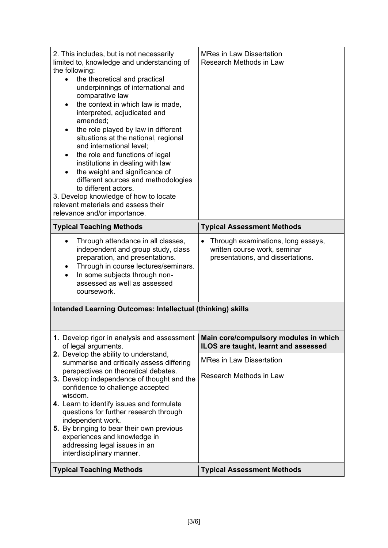| 2. This includes, but is not necessarily<br>limited to, knowledge and understanding of<br>the following:<br>the theoretical and practical<br>underpinnings of international and<br>comparative law<br>the context in which law is made,<br>interpreted, adjudicated and<br>amended;<br>the role played by law in different<br>situations at the national, regional<br>and international level;<br>the role and functions of legal<br>institutions in dealing with law<br>the weight and significance of<br>different sources and methodologies<br>to different actors.<br>3. Develop knowledge of how to locate<br>relevant materials and assess their<br>relevance and/or importance. | <b>MRes in Law Dissertation</b><br>Research Methods in Law                                                           |
|----------------------------------------------------------------------------------------------------------------------------------------------------------------------------------------------------------------------------------------------------------------------------------------------------------------------------------------------------------------------------------------------------------------------------------------------------------------------------------------------------------------------------------------------------------------------------------------------------------------------------------------------------------------------------------------|----------------------------------------------------------------------------------------------------------------------|
| <b>Typical Teaching Methods</b>                                                                                                                                                                                                                                                                                                                                                                                                                                                                                                                                                                                                                                                        | <b>Typical Assessment Methods</b>                                                                                    |
| Through attendance in all classes,<br>independent and group study, class<br>preparation, and presentations.<br>Through in course lectures/seminars.<br>In some subjects through non-<br>assessed as well as assessed<br>coursework.                                                                                                                                                                                                                                                                                                                                                                                                                                                    | Through examinations, long essays,<br>$\bullet$<br>written course work, seminar<br>presentations, and dissertations. |
| <b>Intended Learning Outcomes: Intellectual (thinking) skills</b>                                                                                                                                                                                                                                                                                                                                                                                                                                                                                                                                                                                                                      |                                                                                                                      |
| 1. Develop rigor in analysis and assessment   Main core/compulsory modules in which<br>of legal arguments.                                                                                                                                                                                                                                                                                                                                                                                                                                                                                                                                                                             | ILOS are taught, learnt and assessed                                                                                 |
| 2. Develop the ability to understand,<br>summarise and critically assess differing                                                                                                                                                                                                                                                                                                                                                                                                                                                                                                                                                                                                     | <b>MRes in Law Dissertation</b>                                                                                      |
| perspectives on theoretical debates.<br>3. Develop independence of thought and the<br>confidence to challenge accepted<br>wisdom.                                                                                                                                                                                                                                                                                                                                                                                                                                                                                                                                                      | Research Methods in Law                                                                                              |
| 4. Learn to identify issues and formulate<br>questions for further research through                                                                                                                                                                                                                                                                                                                                                                                                                                                                                                                                                                                                    |                                                                                                                      |
| independent work.<br>5. By bringing to bear their own previous<br>experiences and knowledge in<br>addressing legal issues in an<br>interdisciplinary manner.                                                                                                                                                                                                                                                                                                                                                                                                                                                                                                                           |                                                                                                                      |
| <b>Typical Teaching Methods</b>                                                                                                                                                                                                                                                                                                                                                                                                                                                                                                                                                                                                                                                        | <b>Typical Assessment Methods</b>                                                                                    |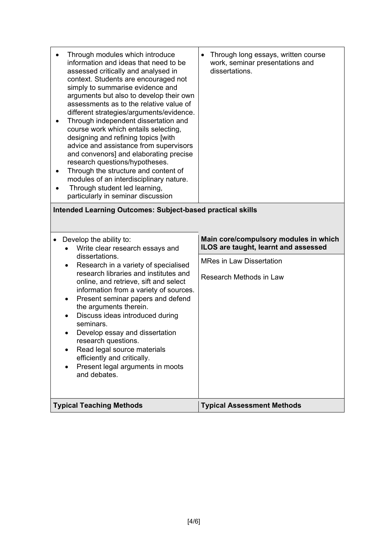| Through modules which introduce<br>information and ideas that need to be<br>assessed critically and analysed in<br>context. Students are encouraged not<br>simply to summarise evidence and<br>arguments but also to develop their own<br>assessments as to the relative value of<br>different strategies/arguments/evidence.<br>Through independent dissertation and<br>course work which entails selecting,<br>designing and refining topics [with<br>advice and assistance from supervisors<br>and convenors] and elaborating precise<br>research questions/hypotheses.<br>Through the structure and content of<br>modules of an interdisciplinary nature.<br>Through student led learning,<br>particularly in seminar discussion<br><b>Intended Learning Outcomes: Subject-based practical skills</b><br>Develop the ability to:<br>Write clear research essays and | Through long essays, written course<br>$\bullet$<br>work, seminar presentations and<br>dissertations.<br>Main core/compulsory modules in which<br>ILOS are taught, learnt and assessed |
|-------------------------------------------------------------------------------------------------------------------------------------------------------------------------------------------------------------------------------------------------------------------------------------------------------------------------------------------------------------------------------------------------------------------------------------------------------------------------------------------------------------------------------------------------------------------------------------------------------------------------------------------------------------------------------------------------------------------------------------------------------------------------------------------------------------------------------------------------------------------------|----------------------------------------------------------------------------------------------------------------------------------------------------------------------------------------|
| dissertations.<br>Research in a variety of specialised<br>research libraries and institutes and<br>online, and retrieve, sift and select<br>information from a variety of sources.<br>Present seminar papers and defend<br>٠<br>the arguments therein.                                                                                                                                                                                                                                                                                                                                                                                                                                                                                                                                                                                                                  | <b>MRes in Law Dissertation</b><br>Research Methods in Law                                                                                                                             |
| Discuss ideas introduced during<br>seminars.<br>Develop essay and dissertation<br>research questions.<br>Read legal source materials<br>efficiently and critically.<br>Present legal arguments in moots<br>and debates.                                                                                                                                                                                                                                                                                                                                                                                                                                                                                                                                                                                                                                                 |                                                                                                                                                                                        |
| <b>Typical Teaching Methods</b>                                                                                                                                                                                                                                                                                                                                                                                                                                                                                                                                                                                                                                                                                                                                                                                                                                         |                                                                                                                                                                                        |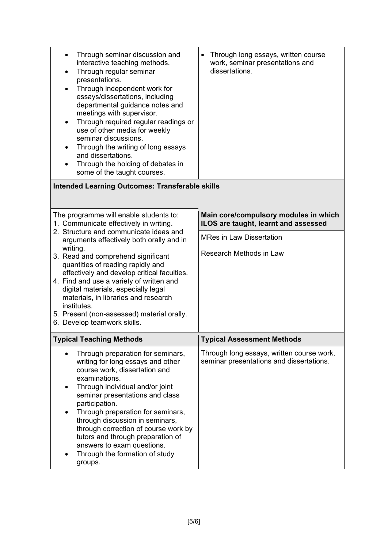| Through seminar discussion and<br>٠<br>interactive teaching methods.<br>Through regular seminar<br>$\bullet$<br>presentations.<br>Through independent work for<br>٠<br>essays/dissertations, including<br>departmental guidance notes and<br>meetings with supervisor.<br>Through required regular readings or<br>٠<br>use of other media for weekly<br>seminar discussions.<br>Through the writing of long essays<br>$\bullet$<br>and dissertations.<br>Through the holding of debates in<br>some of the taught courses. | Through long essays, written course<br>$\bullet$<br>work, seminar presentations and<br>dissertations. |
|---------------------------------------------------------------------------------------------------------------------------------------------------------------------------------------------------------------------------------------------------------------------------------------------------------------------------------------------------------------------------------------------------------------------------------------------------------------------------------------------------------------------------|-------------------------------------------------------------------------------------------------------|
| <b>Intended Learning Outcomes: Transferable skills</b>                                                                                                                                                                                                                                                                                                                                                                                                                                                                    |                                                                                                       |
|                                                                                                                                                                                                                                                                                                                                                                                                                                                                                                                           |                                                                                                       |
| The programme will enable students to:<br>1. Communicate effectively in writing.                                                                                                                                                                                                                                                                                                                                                                                                                                          | Main core/compulsory modules in which<br>ILOS are taught, learnt and assessed                         |
| 2. Structure and communicate ideas and<br>arguments effectively both orally and in                                                                                                                                                                                                                                                                                                                                                                                                                                        | <b>MRes in Law Dissertation</b>                                                                       |
| writing.<br>3. Read and comprehend significant<br>quantities of reading rapidly and                                                                                                                                                                                                                                                                                                                                                                                                                                       | Research Methods in Law                                                                               |
| effectively and develop critical faculties.<br>4. Find and use a variety of written and                                                                                                                                                                                                                                                                                                                                                                                                                                   |                                                                                                       |
| digital materials, especially legal<br>materials, in libraries and research<br>institutes.                                                                                                                                                                                                                                                                                                                                                                                                                                |                                                                                                       |
| 5. Present (non-assessed) material orally.<br>6. Develop teamwork skills.                                                                                                                                                                                                                                                                                                                                                                                                                                                 |                                                                                                       |
| <b>Typical Teaching Methods</b>                                                                                                                                                                                                                                                                                                                                                                                                                                                                                           | <b>Typical Assessment Methods</b>                                                                     |
| Through preparation for seminars,<br>writing for long essays and other<br>course work, dissertation and<br>examinations.<br>Through individual and/or joint<br>seminar presentations and class<br>participation.<br>Through preparation for seminars,<br>through discussion in seminars,<br>through correction of course work by<br>tutors and through preparation of<br>answers to exam questions.<br>Through the formation of study<br>groups.                                                                          | Through long essays, written course work,<br>seminar presentations and dissertations.                 |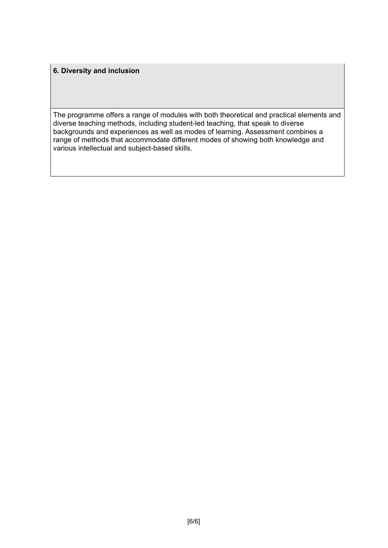### **6. Diversity and inclusion**

The programme offers a range of modules with both theoretical and practical elements and diverse teaching methods, including student-led teaching, that speak to diverse backgrounds and experiences as well as modes of learning. Assessment combines a range of methods that accommodate different modes of showing both knowledge and various intellectual and subject-based skills.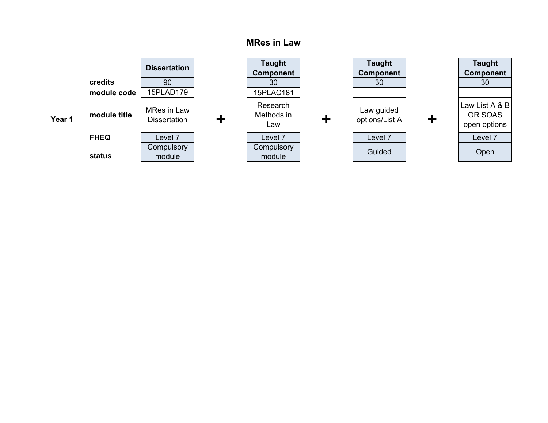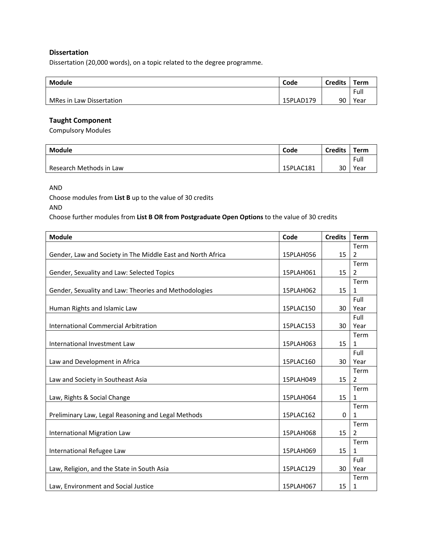#### **Dissertation**

Dissertation (20,000 words), on a topic related to the degree programme.

| <b>Module</b>            | Code      | <b>Credits</b> | Term |
|--------------------------|-----------|----------------|------|
|                          |           |                | Full |
| MRes in Law Dissertation | 15PLAD179 | 90             | Year |

#### **Taught Component**

Compulsory Modules

| Module                  | Code      | <b>Credits</b> | Term |
|-------------------------|-----------|----------------|------|
|                         |           |                | Full |
| Research Methods in Law | 15PLAC181 | 30             | Year |

AND

Choose modules from **List B** up to the value of 30 credits

## AND

Choose further modules from **List B OR from Postgraduate Open Options** to the value of 30 credits

| <b>Module</b>                                               | Code      | <b>Credits</b> | <b>Term</b>    |
|-------------------------------------------------------------|-----------|----------------|----------------|
|                                                             |           |                | Term           |
| Gender, Law and Society in The Middle East and North Africa | 15PLAH056 | 15             | $\overline{2}$ |
|                                                             |           |                | Term           |
| Gender, Sexuality and Law: Selected Topics                  | 15PLAH061 | 15             | 2              |
|                                                             |           |                | Term           |
| Gender, Sexuality and Law: Theories and Methodologies       | 15PLAH062 | 15             | 1              |
|                                                             |           |                | Full           |
| Human Rights and Islamic Law                                | 15PLAC150 | 30             | Year           |
|                                                             |           |                | Full           |
| International Commercial Arbitration                        | 15PLAC153 | 30             | Year           |
|                                                             |           |                | Term           |
| International Investment Law                                | 15PLAH063 | 15             | 1              |
|                                                             |           |                | Full           |
| Law and Development in Africa                               | 15PLAC160 | 30             | Year           |
|                                                             |           |                | Term           |
| Law and Society in Southeast Asia                           | 15PLAH049 | 15             | 2              |
|                                                             |           |                | Term           |
| Law, Rights & Social Change                                 | 15PLAH064 | 15             | 1              |
|                                                             |           |                | Term           |
| Preliminary Law, Legal Reasoning and Legal Methods          | 15PLAC162 | 0              | $\mathbf{1}$   |
|                                                             |           |                | Term           |
| International Migration Law                                 | 15PLAH068 | 15             | $\overline{2}$ |
|                                                             |           |                | Term           |
| International Refugee Law                                   | 15PLAH069 | 15             | 1              |
|                                                             |           |                | Full           |
| Law, Religion, and the State in South Asia                  | 15PLAC129 | 30             | Year           |
|                                                             |           |                | Term           |
| Law, Environment and Social Justice                         | 15PLAH067 | 15             | 1              |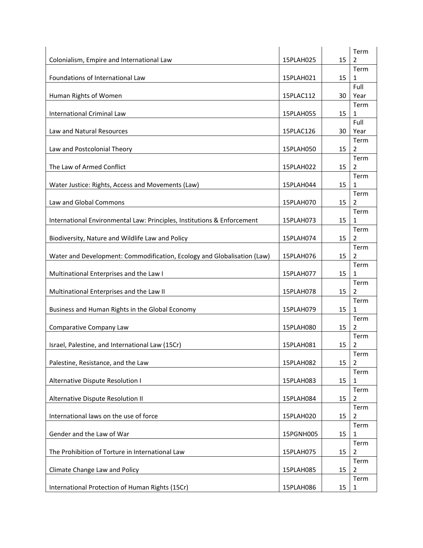| Colonialism, Empire and International Law                               | 15PLAH025 | 15 | Term<br>2              |
|-------------------------------------------------------------------------|-----------|----|------------------------|
| Foundations of International Law                                        | 15PLAH021 | 15 | Term<br>$\mathbf{1}$   |
|                                                                         |           |    | Full                   |
| Human Rights of Women                                                   | 15PLAC112 | 30 | Year<br>Term           |
| International Criminal Law                                              | 15PLAH055 | 15 | 1<br>Full              |
| Law and Natural Resources                                               | 15PLAC126 | 30 | Year<br>Term           |
| Law and Postcolonial Theory                                             | 15PLAH050 | 15 | 2                      |
| The Law of Armed Conflict                                               | 15PLAH022 | 15 | Term<br>2              |
| Water Justice: Rights, Access and Movements (Law)                       | 15PLAH044 | 15 | Term<br>1              |
| Law and Global Commons                                                  | 15PLAH070 | 15 | Term<br>$\overline{2}$ |
| International Environmental Law: Principles, Institutions & Enforcement | 15PLAH073 | 15 | Term<br>1              |
| Biodiversity, Nature and Wildlife Law and Policy                        | 15PLAH074 | 15 | Term<br>2              |
| Water and Development: Commodification, Ecology and Globalisation (Law) | 15PLAH076 | 15 | Term<br>$\overline{2}$ |
| Multinational Enterprises and the Law I                                 | 15PLAH077 | 15 | Term<br>1              |
| Multinational Enterprises and the Law II                                | 15PLAH078 | 15 | Term<br>2              |
| Business and Human Rights in the Global Economy                         | 15PLAH079 | 15 | Term<br>1              |
| Comparative Company Law                                                 | 15PLAH080 | 15 | Term<br>$\overline{2}$ |
| Israel, Palestine, and International Law (15Cr)                         | 15PLAH081 | 15 | Term<br>2              |
| Palestine, Resistance, and the Law                                      | 15PLAH082 | 15 | Term<br>$\overline{2}$ |
| Alternative Dispute Resolution I                                        | 15PLAH083 | 15 | Term<br>1              |
| Alternative Dispute Resolution II                                       | 15PLAH084 | 15 | Term<br>$\overline{2}$ |
| International laws on the use of force                                  | 15PLAH020 | 15 | Term<br>$\overline{2}$ |
| Gender and the Law of War                                               | 15PGNH005 | 15 | Term<br>1              |
| The Prohibition of Torture in International Law                         | 15PLAH075 | 15 | Term<br>$\overline{2}$ |
| Climate Change Law and Policy                                           | 15PLAH085 | 15 | Term<br>2              |
| International Protection of Human Rights (15Cr)                         | 15PLAH086 | 15 | Term<br>$\mathbf{1}$   |